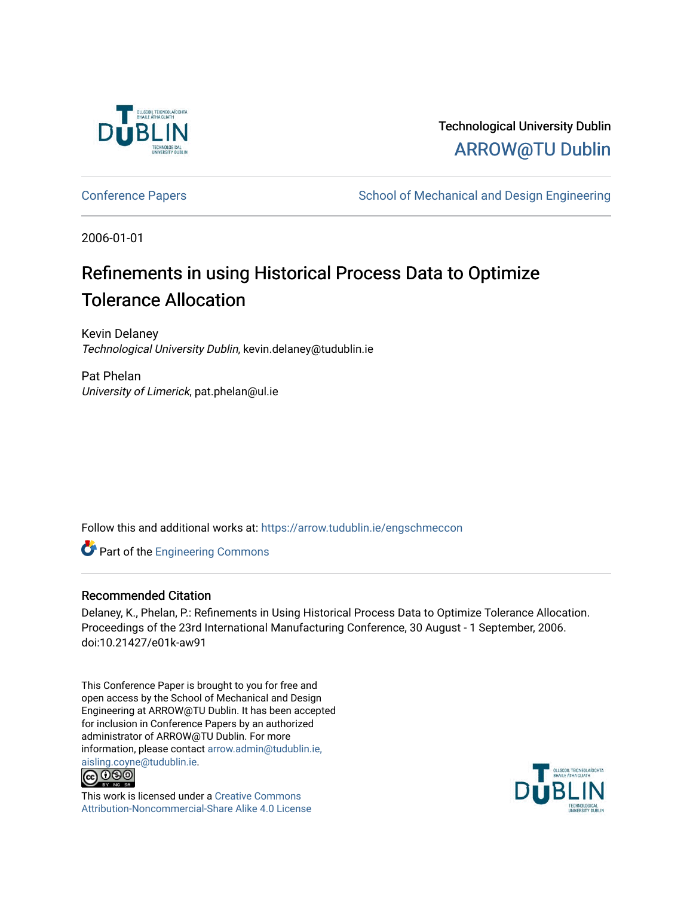

## Technological University Dublin [ARROW@TU Dublin](https://arrow.tudublin.ie/)

[Conference Papers](https://arrow.tudublin.ie/engschmeccon) **School of Mechanical and Design Engineering** School of Mechanical and Design Engineering

2006-01-01

# Refinements in using Historical Process Data to Optimize Tolerance Allocation

Kevin Delaney Technological University Dublin, kevin.delaney@tudublin.ie

Pat Phelan University of Limerick, pat.phelan@ul.ie

Follow this and additional works at: [https://arrow.tudublin.ie/engschmeccon](https://arrow.tudublin.ie/engschmeccon?utm_source=arrow.tudublin.ie%2Fengschmeccon%2F14&utm_medium=PDF&utm_campaign=PDFCoverPages) 

**Part of the [Engineering Commons](http://network.bepress.com/hgg/discipline/217?utm_source=arrow.tudublin.ie%2Fengschmeccon%2F14&utm_medium=PDF&utm_campaign=PDFCoverPages)** 

#### Recommended Citation

Delaney, K., Phelan, P.: Refinements in Using Historical Process Data to Optimize Tolerance Allocation. Proceedings of the 23rd International Manufacturing Conference, 30 August - 1 September, 2006. doi:10.21427/e01k-aw91

This Conference Paper is brought to you for free and open access by the School of Mechanical and Design Engineering at ARROW@TU Dublin. It has been accepted for inclusion in Conference Papers by an authorized administrator of ARROW@TU Dublin. For more information, please contact [arrow.admin@tudublin.ie,](mailto:arrow.admin@tudublin.ie,%20aisling.coyne@tudublin.ie)  [aisling.coyne@tudublin.ie.](mailto:arrow.admin@tudublin.ie,%20aisling.coyne@tudublin.ie)<br>© 090



This work is licensed under a [Creative Commons](http://creativecommons.org/licenses/by-nc-sa/4.0/) [Attribution-Noncommercial-Share Alike 4.0 License](http://creativecommons.org/licenses/by-nc-sa/4.0/)

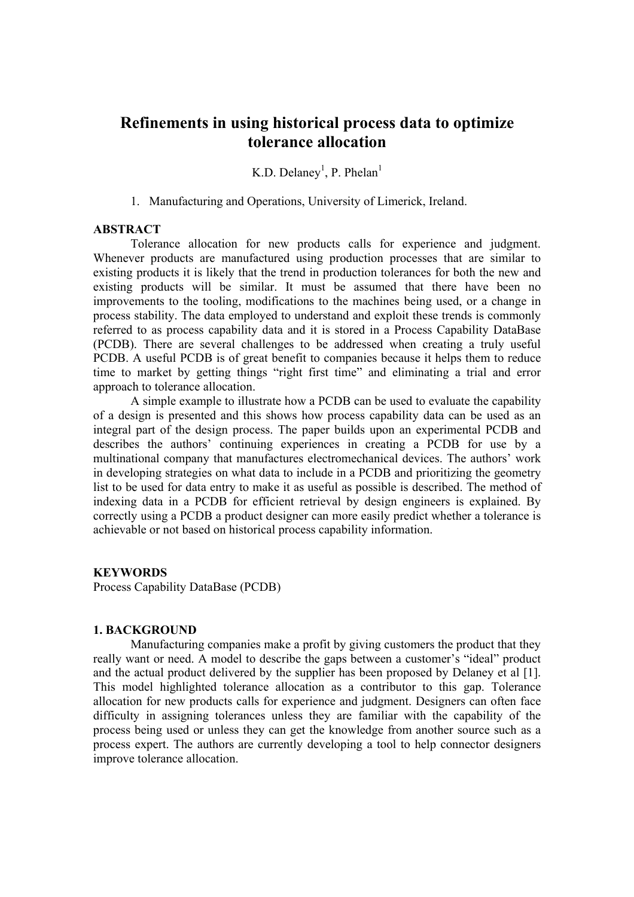### **Refinements in using historical process data to optimize tolerance allocation**

K.D. Delaney<sup>1</sup>, P. Phelan<sup>1</sup>

1. Manufacturing and Operations, University of Limerick, Ireland.

#### **ABSTRACT**

Tolerance allocation for new products calls for experience and judgment. Whenever products are manufactured using production processes that are similar to existing products it is likely that the trend in production tolerances for both the new and existing products will be similar. It must be assumed that there have been no improvements to the tooling, modifications to the machines being used, or a change in process stability. The data employed to understand and exploit these trends is commonly referred to as process capability data and it is stored in a Process Capability DataBase (PCDB). There are several challenges to be addressed when creating a truly useful PCDB. A useful PCDB is of great benefit to companies because it helps them to reduce time to market by getting things "right first time" and eliminating a trial and error approach to tolerance allocation.

A simple example to illustrate how a PCDB can be used to evaluate the capability of a design is presented and this shows how process capability data can be used as an integral part of the design process. The paper builds upon an experimental PCDB and describes the authors' continuing experiences in creating a PCDB for use by a multinational company that manufactures electromechanical devices. The authors' work in developing strategies on what data to include in a PCDB and prioritizing the geometry list to be used for data entry to make it as useful as possible is described. The method of indexing data in a PCDB for efficient retrieval by design engineers is explained. By correctly using a PCDB a product designer can more easily predict whether a tolerance is achievable or not based on historical process capability information.

#### **KEYWORDS**

Process Capability DataBase (PCDB)

#### **1. BACKGROUND**

Manufacturing companies make a profit by giving customers the product that they really want or need. A model to describe the gaps between a customer's "ideal" product and the actual product delivered by the supplier has been proposed by Delaney et al [1]. This model highlighted tolerance allocation as a contributor to this gap. Tolerance allocation for new products calls for experience and judgment. Designers can often face difficulty in assigning tolerances unless they are familiar with the capability of the process being used or unless they can get the knowledge from another source such as a process expert. The authors are currently developing a tool to help connector designers improve tolerance allocation.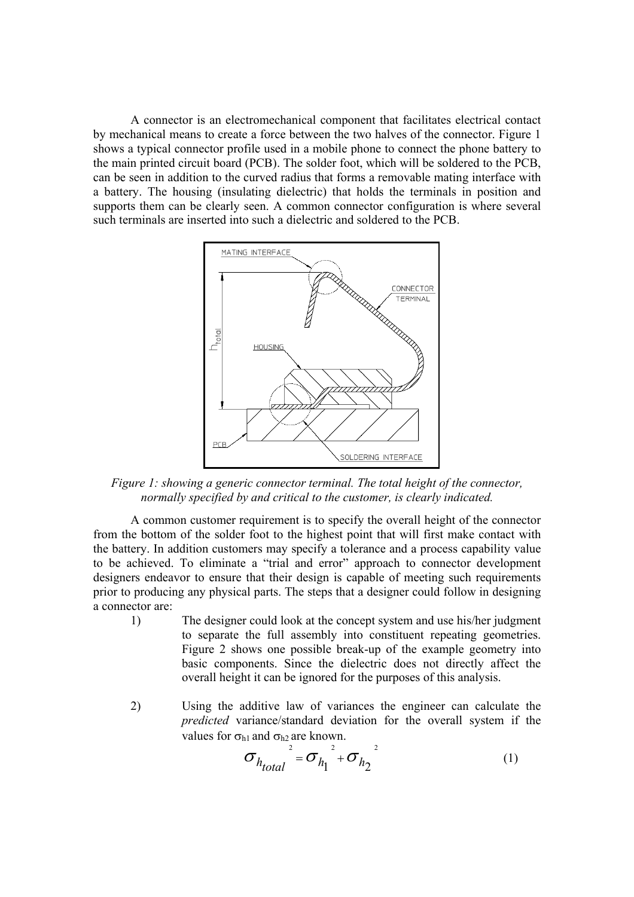A connector is an electromechanical component that facilitates electrical contact by mechanical means to create a force between the two halves of the connector. Figure 1 shows a typical connector profile used in a mobile phone to connect the phone battery to the main printed circuit board (PCB). The solder foot, which will be soldered to the PCB, can be seen in addition to the curved radius that forms a removable mating interface with a battery. The housing (insulating dielectric) that holds the terminals in position and supports them can be clearly seen. A common connector configuration is where several such terminals are inserted into such a dielectric and soldered to the PCB.



*Figure 1: showing a generic connector terminal. The total height of the connector, normally specified by and critical to the customer, is clearly indicated.* 

A common customer requirement is to specify the overall height of the connector from the bottom of the solder foot to the highest point that will first make contact with the battery. In addition customers may specify a tolerance and a process capability value to be achieved. To eliminate a "trial and error" approach to connector development designers endeavor to ensure that their design is capable of meeting such requirements prior to producing any physical parts. The steps that a designer could follow in designing a connector are:

- 1) The designer could look at the concept system and use his/her judgment to separate the full assembly into constituent repeating geometries. Figure 2 shows one possible break-up of the example geometry into basic components. Since the dielectric does not directly affect the overall height it can be ignored for the purposes of this analysis.
- 2) Using the additive law of variances the engineer can calculate the *predicted* variance/standard deviation for the overall system if the values for  $\sigma_{h1}$  and  $\sigma_{h2}$  are known.

$$
\sigma_{h_{total}}^{2} = \sigma_{h_{1}}^{2} + \sigma_{h_{2}}^{2}
$$
 (1)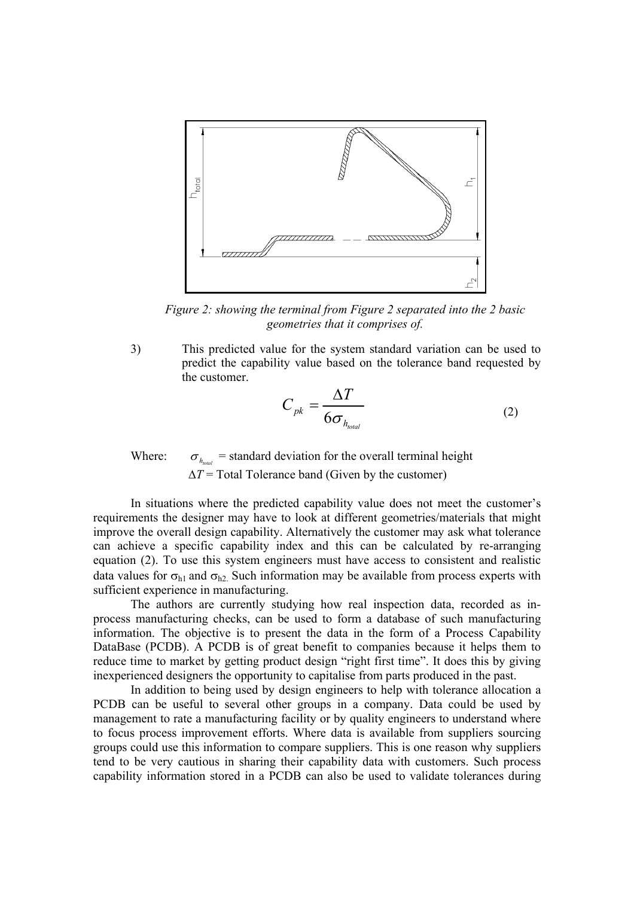

*Figure 2: showing the terminal from Figure 2 separated into the 2 basic geometries that it comprises of.* 

3) This predicted value for the system standard variation can be used to predict the capability value based on the tolerance band requested by the customer.

$$
C_{pk} = \frac{\Delta T}{6\sigma_{h_{total}}}
$$
 (2)

Where:  $\sigma_{h_{\text{total}}}$  = standard deviation for the overall terminal height ∆*T* = Total Tolerance band (Given by the customer)

In situations where the predicted capability value does not meet the customer's requirements the designer may have to look at different geometries/materials that might improve the overall design capability. Alternatively the customer may ask what tolerance can achieve a specific capability index and this can be calculated by re-arranging equation (2). To use this system engineers must have access to consistent and realistic data values for  $\sigma_{h1}$  and  $\sigma_{h2}$ . Such information may be available from process experts with sufficient experience in manufacturing.

The authors are currently studying how real inspection data, recorded as inprocess manufacturing checks, can be used to form a database of such manufacturing information. The objective is to present the data in the form of a Process Capability DataBase (PCDB). A PCDB is of great benefit to companies because it helps them to reduce time to market by getting product design "right first time". It does this by giving inexperienced designers the opportunity to capitalise from parts produced in the past.

In addition to being used by design engineers to help with tolerance allocation a PCDB can be useful to several other groups in a company. Data could be used by management to rate a manufacturing facility or by quality engineers to understand where to focus process improvement efforts. Where data is available from suppliers sourcing groups could use this information to compare suppliers. This is one reason why suppliers tend to be very cautious in sharing their capability data with customers. Such process capability information stored in a PCDB can also be used to validate tolerances during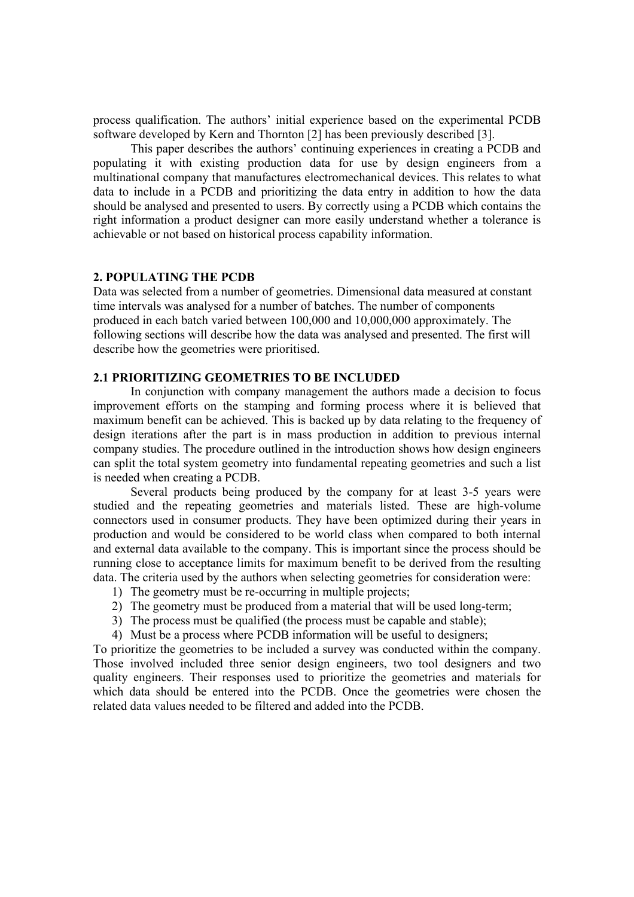process qualification. The authors' initial experience based on the experimental PCDB software developed by Kern and Thornton [2] has been previously described [3].

This paper describes the authors' continuing experiences in creating a PCDB and populating it with existing production data for use by design engineers from a multinational company that manufactures electromechanical devices. This relates to what data to include in a PCDB and prioritizing the data entry in addition to how the data should be analysed and presented to users. By correctly using a PCDB which contains the right information a product designer can more easily understand whether a tolerance is achievable or not based on historical process capability information.

#### **2. POPULATING THE PCDB**

Data was selected from a number of geometries. Dimensional data measured at constant time intervals was analysed for a number of batches. The number of components produced in each batch varied between 100,000 and 10,000,000 approximately. The following sections will describe how the data was analysed and presented. The first will describe how the geometries were prioritised.

#### **2.1 PRIORITIZING GEOMETRIES TO BE INCLUDED**

In conjunction with company management the authors made a decision to focus improvement efforts on the stamping and forming process where it is believed that maximum benefit can be achieved. This is backed up by data relating to the frequency of design iterations after the part is in mass production in addition to previous internal company studies. The procedure outlined in the introduction shows how design engineers can split the total system geometry into fundamental repeating geometries and such a list is needed when creating a PCDB.

Several products being produced by the company for at least 3-5 years were studied and the repeating geometries and materials listed. These are high-volume connectors used in consumer products. They have been optimized during their years in production and would be considered to be world class when compared to both internal and external data available to the company. This is important since the process should be running close to acceptance limits for maximum benefit to be derived from the resulting data. The criteria used by the authors when selecting geometries for consideration were:

- 1) The geometry must be re-occurring in multiple projects;
- 2) The geometry must be produced from a material that will be used long-term;
- 3) The process must be qualified (the process must be capable and stable);
- 4) Must be a process where PCDB information will be useful to designers;

To prioritize the geometries to be included a survey was conducted within the company. Those involved included three senior design engineers, two tool designers and two quality engineers. Their responses used to prioritize the geometries and materials for which data should be entered into the PCDB. Once the geometries were chosen the related data values needed to be filtered and added into the PCDB.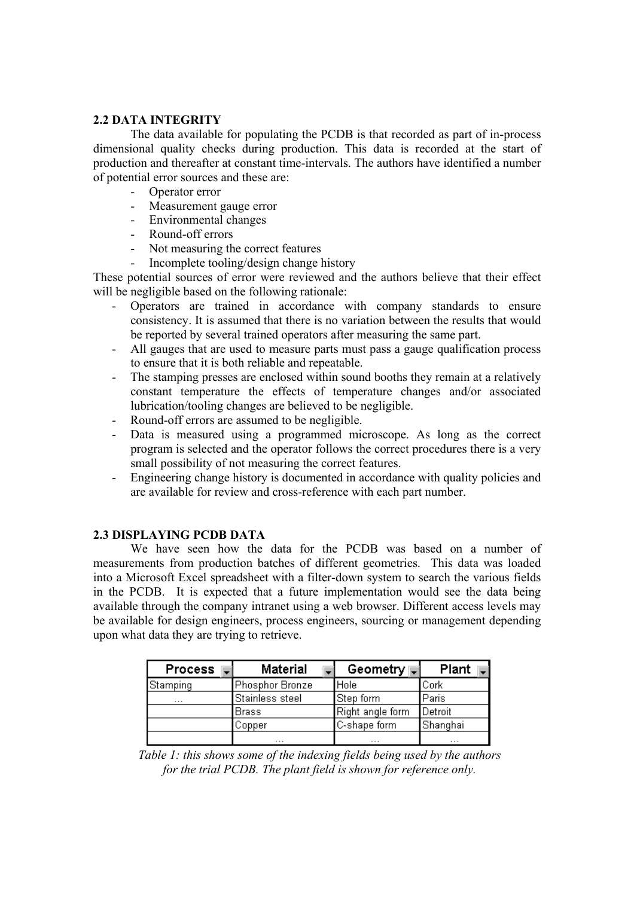#### **2.2 DATA INTEGRITY**

The data available for populating the PCDB is that recorded as part of in-process dimensional quality checks during production. This data is recorded at the start of production and thereafter at constant time-intervals. The authors have identified a number of potential error sources and these are:

- Operator error
- Measurement gauge error
- Environmental changes
- Round-off errors
- Not measuring the correct features
- Incomplete tooling/design change history

These potential sources of error were reviewed and the authors believe that their effect will be negligible based on the following rationale:

- Operators are trained in accordance with company standards to ensure consistency. It is assumed that there is no variation between the results that would be reported by several trained operators after measuring the same part.
- All gauges that are used to measure parts must pass a gauge qualification process to ensure that it is both reliable and repeatable.
- The stamping presses are enclosed within sound booths they remain at a relatively constant temperature the effects of temperature changes and/or associated lubrication/tooling changes are believed to be negligible.
- Round-off errors are assumed to be negligible.
- Data is measured using a programmed microscope. As long as the correct program is selected and the operator follows the correct procedures there is a very small possibility of not measuring the correct features.
- Engineering change history is documented in accordance with quality policies and are available for review and cross-reference with each part number.

#### **2.3 DISPLAYING PCDB DATA**

We have seen how the data for the PCDB was based on a number of measurements from production batches of different geometries. This data was loaded into a Microsoft Excel spreadsheet with a filter-down system to search the various fields in the PCDB. It is expected that a future implementation would see the data being available through the company intranet using a web browser. Different access levels may be available for design engineers, process engineers, sourcing or management depending upon what data they are trying to retrieve.

| <b>Process</b> | <b>Material</b> | Geometry ⊪       | Plant    |  |
|----------------|-----------------|------------------|----------|--|
| Stamping       | Phosphor Bronze | <b>I</b> Hole    | Cork     |  |
| $\cdots$       | Stainless steel | Step form        | Paris    |  |
|                | Brass           | Right angle form | Detroit  |  |
|                | Copper          | C-shape form     | Shanghai |  |
|                | $\cdots$        | $\cdots$         | $\cdots$ |  |

*Table 1: this shows some of the indexing fields being used by the authors for the trial PCDB. The plant field is shown for reference only.*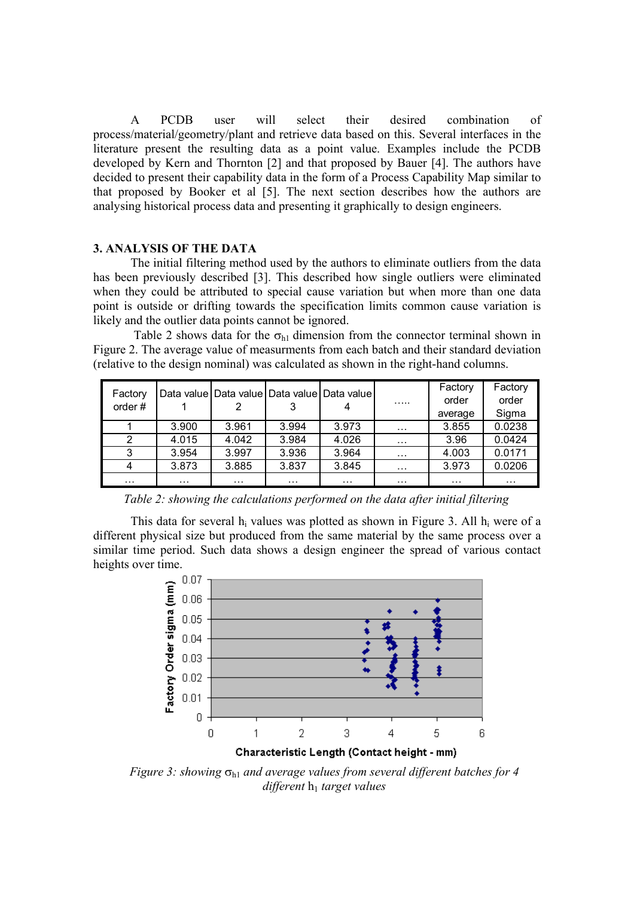A PCDB user will select their desired combination of process/material/geometry/plant and retrieve data based on this. Several interfaces in the literature present the resulting data as a point value. Examples include the PCDB developed by Kern and Thornton [2] and that proposed by Bauer [4]. The authors have decided to present their capability data in the form of a Process Capability Map similar to that proposed by Booker et al [5]. The next section describes how the authors are analysing historical process data and presenting it graphically to design engineers.

#### **3. ANALYSIS OF THE DATA**

The initial filtering method used by the authors to eliminate outliers from the data has been previously described [3]. This described how single outliers were eliminated when they could be attributed to special cause variation but when more than one data point is outside or drifting towards the specification limits common cause variation is likely and the outlier data points cannot be ignored.

Table 2 shows data for the  $\sigma_{h1}$  dimension from the connector terminal shown in Figure 2. The average value of measurments from each batch and their standard deviation (relative to the design nominal) was calculated as shown in the right-hand columns.

| Factory<br>order# |          |          |          | Data value Data value Data value Data value | .        | Factory<br>order<br>average | Factory<br>order<br>Sigma |
|-------------------|----------|----------|----------|---------------------------------------------|----------|-----------------------------|---------------------------|
|                   | 3.900    | 3.961    | 3.994    | 3.973                                       |          | 3.855                       | 0.0238                    |
|                   |          |          |          |                                             | $\cdot$  |                             |                           |
| 2                 | 4.015    | 4.042    | 3.984    | 4.026                                       | $\cdots$ | 3.96                        | 0.0424                    |
| 3                 | 3.954    | 3.997    | 3.936    | 3.964                                       | .        | 4.003                       | 0.0171                    |
| 4                 | 3.873    | 3.885    | 3.837    | 3.845                                       | .        | 3.973                       | 0.0206                    |
| $\cdots$          | $\cdots$ | $\cdots$ | $\cdots$ | $\cdots$                                    | .        | $\cdot$                     | $\cdots$                  |

*Table 2: showing the calculations performed on the data after initial filtering* 

This data for several  $h_i$  values was plotted as shown in Figure 3. All  $h_i$  were of a different physical size but produced from the same material by the same process over a similar time period. Such data shows a design engineer the spread of various contact heights over time.



*Figure 3: showing*  $σ_{h1}$  *and average values from several different batches for 4 different* **h**<sub>1</sub> *target values*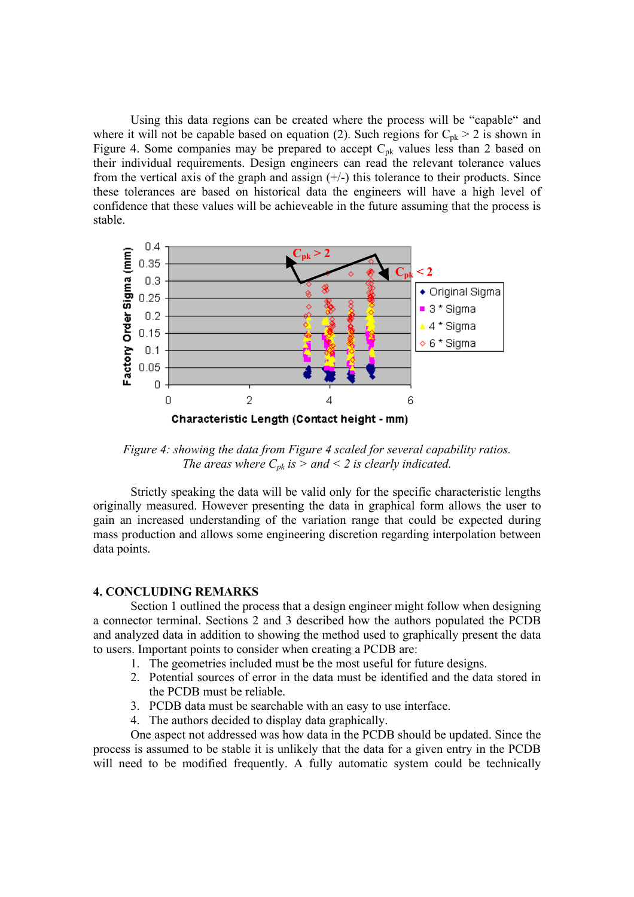Using this data regions can be created where the process will be "capable" and where it will not be capable based on equation (2). Such regions for  $C_{pk} > 2$  is shown in Figure 4. Some companies may be prepared to accept  $C_{pk}$  values less than 2 based on their individual requirements. Design engineers can read the relevant tolerance values from the vertical axis of the graph and assign  $(+/-)$  this tolerance to their products. Since these tolerances are based on historical data the engineers will have a high level of confidence that these values will be achieveable in the future assuming that the process is stable.



*Figure 4: showing the data from Figure 4 scaled for several capability ratios. The areas where*  $C_{pk}$  *is > and < 2 is clearly indicated.* 

Strictly speaking the data will be valid only for the specific characteristic lengths originally measured. However presenting the data in graphical form allows the user to gain an increased understanding of the variation range that could be expected during mass production and allows some engineering discretion regarding interpolation between data points.

#### **4. CONCLUDING REMARKS**

Section 1 outlined the process that a design engineer might follow when designing a connector terminal. Sections 2 and 3 described how the authors populated the PCDB and analyzed data in addition to showing the method used to graphically present the data to users. Important points to consider when creating a PCDB are:

- 1. The geometries included must be the most useful for future designs.
- 2. Potential sources of error in the data must be identified and the data stored in the PCDB must be reliable.
- 3. PCDB data must be searchable with an easy to use interface.
- 4. The authors decided to display data graphically.

One aspect not addressed was how data in the PCDB should be updated. Since the process is assumed to be stable it is unlikely that the data for a given entry in the PCDB will need to be modified frequently. A fully automatic system could be technically